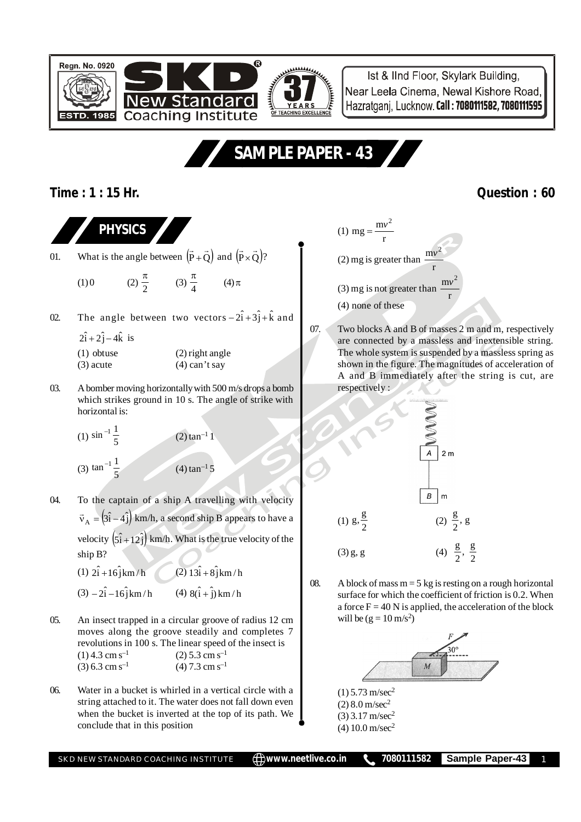

Ist & IInd Floor, Skylark Building, Near Leela Cinema, Newal Kishore Road, Hazratgani, Lucknow, Call: 7080111582, 7080111595

## **SAMPLE PAPER - 43**

## **Time : 1 : 15 Hr. Question : 60**

**PHYSICS**

- 01. What is the angle between  $(P+Q)$  $\overline{a}$ +Q) and  $(P \times Q)'$  $\overline{a}$  $\times Q$ )?
	- (1) 0 (2)  $\frac{1}{2}$  $\frac{\pi}{2}$  (3)  $\frac{\pi}{4}$  $\frac{\pi}{4}$  (4)  $\pi$
- 02. The angle between two vectors  $-2\hat{i}+3\hat{j}+\hat{k}$  and
	- $2\hat{i} + 2\hat{j} 4\hat{k}$  is
	- (1) obtuse (2) right angle  $(3)$  acute  $(4)$  can't say
- 03. A bomber moving horizontally with 500 m/s drops a bomb which strikes ground in 10 s. The angle of strike with horizontal is:
	- (1)  $\sin^{-1} \frac{1}{5}$  $(2)$  tan<sup>-1</sup> 1 (3)  $\tan^{-1} \frac{1}{5}$  (4)  $\tan^{-1} 5$
- 04. To the captain of a ship A travelling with velocity  $\vec{v}_A = (3\hat{i} - 4\hat{j})$  km/h, a second ship B appears to have a velocity  $(\hat{s}_1 + 12\hat{j})$  km/h. What is the true velocity of the ship B?
	- (1)  $2\hat{i} + 16\hat{j}$ km/h (2)  $13\hat{i} + 8\hat{j}$ km/h
	- $(3) 2\hat{i} 16\hat{j}$  km / h  $(4) 8(\hat{i} + \hat{j})$  km / h
- 05. An insect trapped in a circular groove of radius 12 cm moves along the groove steadily and completes 7 revolutions in 100 s. The linear speed of the insect is  $(1)$  4.3 cm s<sup>-1</sup> (2) 5.3 cm s<sup>-1</sup> (3) 6.3 cm s<sup>-1</sup> (4) 7.3 cm s<sup>-1</sup>
- 06. Water in a bucket is whirled in a vertical circle with a string attached to it. The water does not fall down even when the bucket is inverted at the top of its path. We conclude that in this position



07. Two blocks A and B of masses 2 m and m, respectively are connected by a massless and inextensible string. The whole system is suspended by a massless spring as shown in the figure. The magnitudes of acceleration of A and B immediately after the string is cut, are respectively :



08. A block of mass  $m = 5$  kg is resting on a rough horizontal surface for which the coefficient of friction is 0.2. When a force  $F = 40$  N is applied, the acceleration of the block will be  $(g = 10 \text{ m/s}^2)$ 



 $(1)$  5.73 m/sec<sup>2</sup>  $(2)$  8.0 m/sec<sup>2</sup>  $(3)$  3.17 m/sec<sup>2</sup>

- 
- $(4) 10.0$  m/sec<sup>2</sup>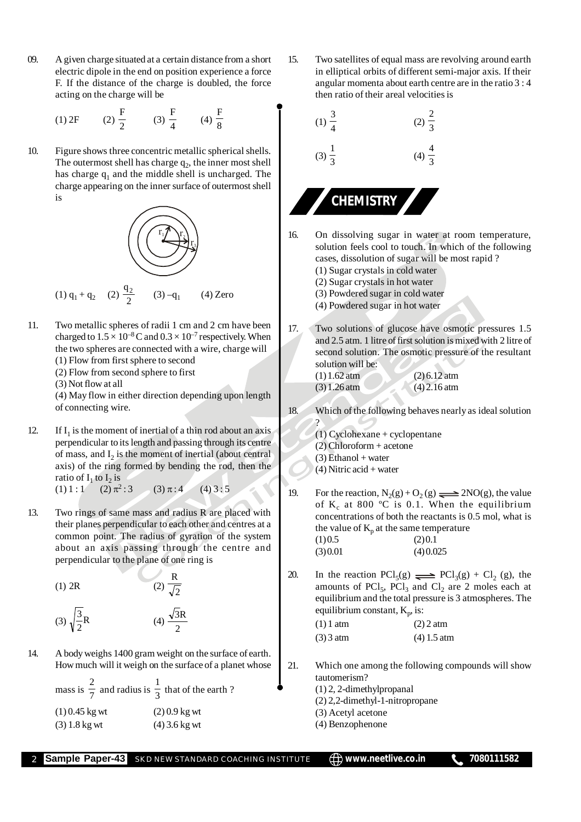09. A given charge situated at a certain distance from a short electric dipole in the end on position experience a force F. If the distance of the charge is doubled, the force acting on the charge will be

(1) 2F (2) 
$$
\frac{F}{2}
$$
 (3)  $\frac{F}{4}$  (4)  $\frac{F}{8}$ 

10. Figure shows three concentric metallic spherical shells. The outermost shell has charge  $q_2$ , the inner most shell has charge  $q_1$  and the middle shell is uncharged. The charge appearing on the inner surface of outermost shell is



- 11. Two metallic spheres of radii 1 cm and 2 cm have been charged to  $1.5 \times 10^{-8}$  C and  $0.3 \times 10^{-7}$  respectively. When the two spheres are connected with a wire, charge will
	- (1) Flow from first sphere to second
	- (2) Flow from second sphere to first
	- (3) Not flow at all

(4) May flow in either direction depending upon length of connecting wire.

- 12. If  $I_1$  is the moment of inertial of a thin rod about an axis perpendicular to its length and passing through its centre of mass, and  $I_2$  is the moment of inertial (about central axis) of the ring formed by bending the rod, then the ratio of  $I_1$  to  $I_2$  is
	- $(1) 1 : 1$  $(2) \pi^2:3$  $(3) \pi : 4$  (4) 3 : 5
- 13. Two rings of same mass and radius R are placed with their planes perpendicular to each other and centres at a common point. The radius of gyration of the system about an axis passing through the centre and perpendicular to the plane of one ring is

(1) 2R (2)  $\sqrt{2}$ R

$$
(3) \sqrt{\frac{3}{2}}R \qquad (4) \frac{\sqrt{3}R}{2}
$$

14. A body weighs 1400 gram weight on the surface of earth. How much will it weigh on the surface of a planet whose

| mass is $\frac{2}{7}$ and radius is $\frac{1}{3}$ that of the earth ? |                 |
|-----------------------------------------------------------------------|-----------------|
| $(1)$ 0.45 kg wt                                                      | $(2) 0.9$ kg wt |
| $(3) 1.8$ kg wt                                                       | $(4)$ 3.6 kg wt |

15. Two satellites of equal mass are revolving around earth in elliptical orbits of different semi-major axis. If their angular momenta about earth centre are in the ratio 3 : 4 then ratio of their areal velocities is



- 16. On dissolving sugar in water at room temperature, solution feels cool to touch. In which of the following cases, dissolution of sugar will be most rapid ? (1) Sugar crystals in cold water
	- (2) Sugar crystals in hot water
	- (3) Powdered sugar in cold water
	- (4) Powdered sugar in hot water
- 17. Two solutions of glucose have osmotic pressures 1.5 and 2.5 atm. 1 litre of first solution is mixed with 2 litre of second solution. The osmotic pressure of the resultant solution will be:
	- (1) 1.62 atm (2) 6.12 atm (3) 1.26 atm (4) 2.16 atm
- 18. Which of the following behaves nearly as ideal solution ?
	- (1) Cyclohexane + cyclopentane
	- (2) Chloroform + acetone
	- $(3)$  Ethanol + water
	- (4) Nitric acid + water
- 19. For the reaction,  $N_2(g) + O_2(g) \implies 2NO(g)$ , the value of  $K_c$  at 800 °C is 0.1. When the equilibrium concentrations of both the reactants is 0.5 mol, what is the value of  $K_p$  at the same temperature  $(1)0.5$   $(2)0.1$  $(3) 0.01$   $(4) 0.025$
- 20. In the reaction  $\text{PCl}_5(g) \rightleftharpoons \text{PCl}_3(g) + \text{Cl}_2(g)$ , the amounts of  $\text{PCl}_5$ ,  $\text{PCl}_3$  and  $\text{Cl}_2$  are 2 moles each at equilibrium and the total pressure is 3 atmospheres. The equilibrium constant,  $K_p$ , is:

| $(1)$ 1 atm | $(2)$ 2 atm   |  |
|-------------|---------------|--|
| $(3)$ 3 atm | $(4)$ 1.5 atm |  |

- 21. Which one among the following compounds will show tautomerism?
	- (1) 2, 2-dimethylpropanal
	- (2) 2,2-dimethyl-1-nitropropane
	- (3) Acetyl acetone
	- (4) Benzophenone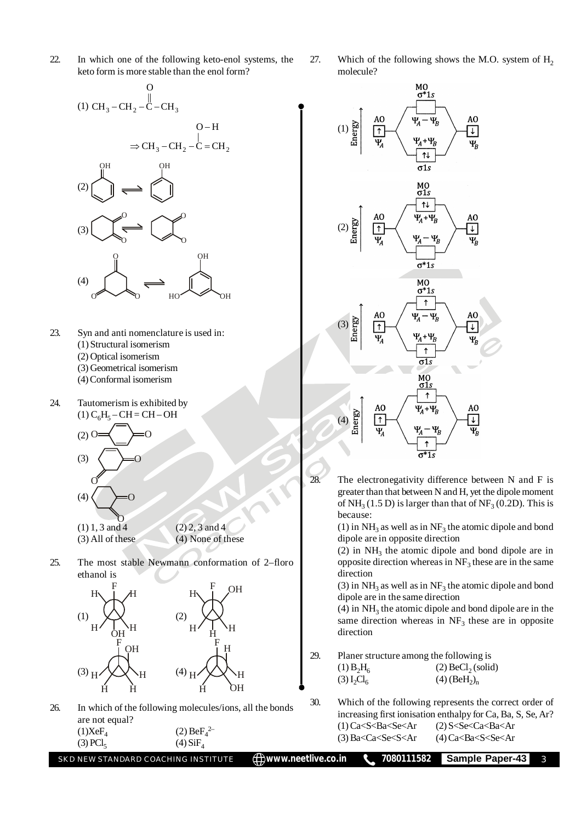- 22. In which one of the following keto-enol systems, the keto form is more stable than the enol form?
	- (1) CH<sub>3</sub> CH<sub>2</sub> C CH<sub>3</sub> ||  $\Omega$  $-CH_2-C \Rightarrow$  CH<sub>3</sub> – CH<sub>2</sub> – C = CH<sub>2</sub>  $O-H$  $\Rightarrow$  CH<sub>3</sub> – CH<sub>2</sub> – C = (2) OH OH (3)  $\sim$   $\sim$   $\lambda$  $\sigma \sim 0$ (4) O OH  $\sigma$   $\sim$   $\sim$   $\sigma$   $\sim$   $\sigma$   $\sim$
- 23. Syn and anti nomenclature is used in: (1) Structural isomerism (2) Optical isomerism (3) Geometrical isomerism
	- (4) Conformal isomerism
- 24. Tautomerism is exhibited by  $(1) C_6H_5 - CH = CH - OH$  $(2)$  C  $(3)$ O  $(4)$ 
	- $(1)$  1, 3 and 4  $(2)$  2, 3 and 4 (3) All of these (4) None of these
- 25. The most stable Newmann conformation of 2–floro ethanol is



26. In which of the following molecules/ions, all the bonds are not equal?  $(1)XeF_4$  $(2)$  Be $F_4^2$  $(3)$  PCl<sub>5</sub>  $(4)$  SiF<sub>4</sub>

27. Which of the following shows the M.O. system of  $H<sub>2</sub>$ molecule?



28. The electronegativity difference between N and F is greater than that between N and H, yet the dipole moment of  $NH<sub>3</sub>(1.5 D)$  is larger than that of  $NF<sub>3</sub>(0.2 D)$ . This is because:

> (1) in  $NH<sub>3</sub>$  as well as in  $NF<sub>3</sub>$  the atomic dipole and bond dipole are in opposite direction

> (2) in  $NH<sub>3</sub>$  the atomic dipole and bond dipole are in opposite direction whereas in  $NF_3$  these are in the same direction

> (3) in  $NH<sub>3</sub>$  as well as in  $NF<sub>3</sub>$  the atomic dipole and bond dipole are in the same direction

> $(4)$  in  $NH<sub>3</sub>$  the atomic dipole and bond dipole are in the same direction whereas in  $NF<sub>3</sub>$  these are in opposite direction

29. Planer structure among the following is

| $(1) B_2H_6$                       | $(2)$ BeCl <sub>2</sub> (solid)        |
|------------------------------------|----------------------------------------|
| (3) L <sub>2</sub> Cl <sub>6</sub> | $(4)$ (BeH <sub>2</sub> ) <sub>n</sub> |

30. Which of the following represents the correct order of increasing first ionisation enthalpy for Ca, Ba, S, Se, Ar?  $(1)$  Ca<S $\leq$ Ba $\leq$ Se $\leq$ Ar  $(2)$  S $\leq$ Se $\leq$ Ca $\leq$ Ba $\leq$ Ar  $(3)$  Ba<Ca<Se<S<Ar  $(4)$  Ca<Ba<S<Se<Ar

| SKD NEW STANDARD COACHING INSTITUTE |  |
|-------------------------------------|--|
|                                     |  |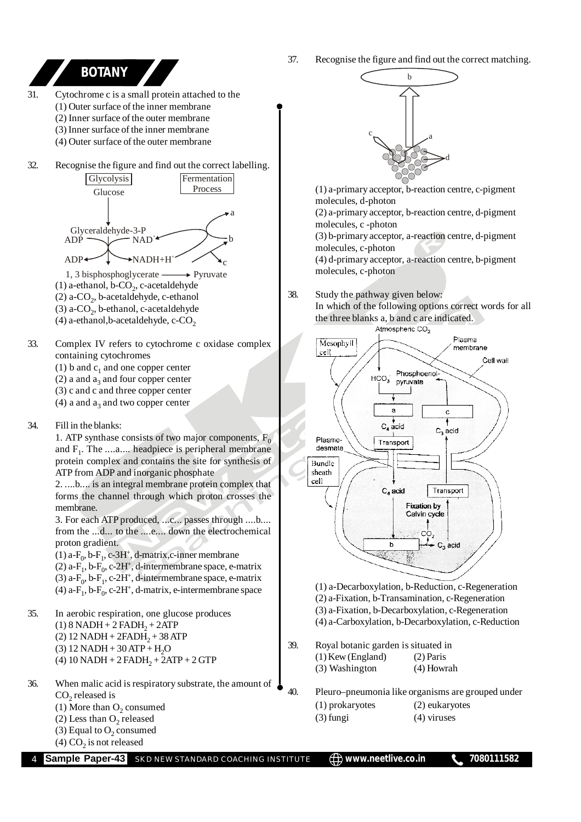37. Recognise the figure and find out the correct matching. b

c

a

d

Plasma

Ċ

 $C_3$  acid

Transport

membrane

Cell wall



(4) a-Carboxylation, b-Decarboxylation, c-Reduction

39. Royal botanic garden is situated in

(3) Washington (4) Howrah

- 40. Pleuro–pneumonia like organisms are grouped under
	- (1) prokaryotes (2) eukaryotes
	- (3) fungi (4) viruses

b

Phosphoenol-

pyruvate

 $HCO<sub>3</sub>$ 

a

 $C_4$  acid

Transport

C, acid

(1) a-Decarboxylation, b-Reduction, c-Regeneration (2) a-Fixation, b-Transamination, c-Regeneration (3) a-Fixation, b-Decarboxylation, c-Regeneration

(1) Kew (England) (2) Paris

- -

**Sample Paper-43** SKD NEW STANDARD COACHING INSTITUTE  $\Box$  www.neetlive.co.in 1080111582

 $CO<sub>2</sub>$  $C_3$  acid

**Fixation by** Calvin cycle

- 
- (2) Less than  $O_2$  released
- (3) Equal to  $O_2$  consumed (4)  $CO<sub>2</sub>$  is not released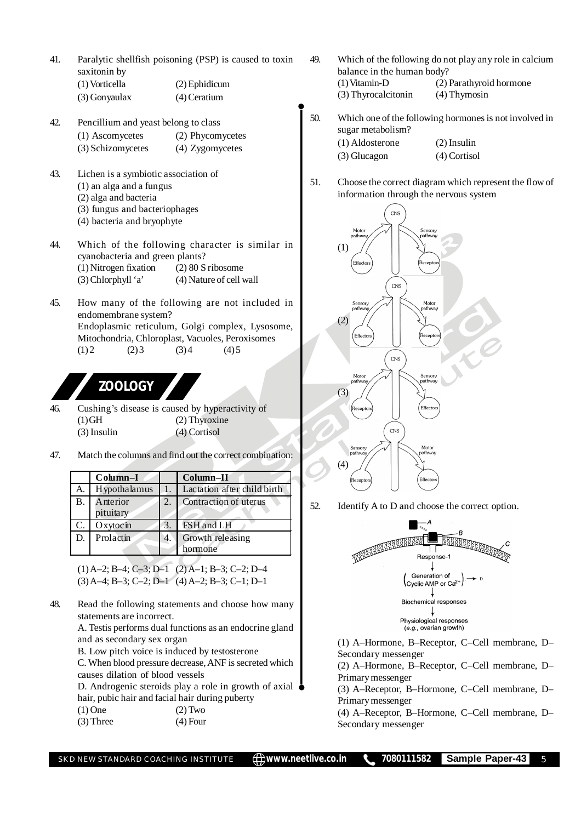- 41. Paralytic shellfish poisoning (PSP) is caused to toxin saxitonin by
	- (1) Vorticella (2) Ephidicum (3) Gonyaulax (4) Ceratium
- 42. Pencillium and yeast belong to class (1) Ascomycetes (2) Phycomycetes (3) Schizomycetes (4) Zygomycetes
- 43. Lichen is a symbiotic association of (1) an alga and a fungus (2) alga and bacteria (3) fungus and bacteriophages (4) bacteria and bryophyte
- 44. Which of the following character is similar in cyanobacteria and green plants? (1) Nitrogen fixation (2) 80 S ribosome (3) Chlorphyll 'a' (4) Nature of cell wall
- 45. How many of the following are not included in endomembrane system? Endoplasmic reticulum, Golgi complex, Lysosome, Mitochondria, Chloroplast, Vacuoles, Peroxisomes  $(1) 2$   $(2) 3$   $(3) 4$   $(4) 5$

## **ZOOLOGY**

- 46. Cushing's disease is caused by hyperactivity of (1) GH (2) Thyroxine (3) Insulin (4) Cortisol
- 47. Match the columns and find out the correct combination:

|    | Column-I     |    | Column-II                   |
|----|--------------|----|-----------------------------|
| А. | Hypothalamus |    | Lactation after child birth |
| Β. | Anterior     | 2. | Contraction of uterus       |
|    | pituitary    |    |                             |
| C. | Oxytocin     | 3. | FSH and LH                  |
| D. | Prolactin    | 4. | Growth releasing            |
|    |              |    | hormone                     |

(1) A–2; B–4; C–3; D–1 (2) A–1; B–3; C–2; D–4 (3) A–4; B–3; C–2; D–1 (4) A–2; B–3; C–1; D–1

48. Read the following statements and choose how many statements are incorrect. A. Testis performs dual functions as an endocrine gland

and as secondary sex organ

B. Low pitch voice is induced by testosterone

C. When blood pressure decrease, ANF is secreted which causes dilation of blood vessels

D. Androgenic steroids play a role in growth of axial hair, pubic hair and facial hair during puberty  $(1)$  One  $(2)$  Two

 $(3)$  Three  $(4)$  Four

- 49. Which of the following do not play any role in calcium balance in the human body?<br>(1) Vitamin-D (2) (2) Parathyroid hormone (3) Thyrocalcitonin (4) Thymosin
- 50. Which one of the following hormones is not involved in sugar metabolism?
	- (1) Aldosterone (2) Insulin (3) Glucagon (4) Cortisol
	-
- 51. Choose the correct diagram which represent the flow of information through the nervous system



52. Identify A to D and choose the correct option.



(1) A–Hormone, B–Receptor, C–Cell membrane, D– Secondary messenger

(2) A–Hormone, B–Receptor, C–Cell membrane, D– Primary messenger

(3) A–Receptor, B–Hormone, C–Cell membrane, D– Primary messenger

(4) A–Receptor, B–Hormone, C–Cell membrane, D– Secondary messenger